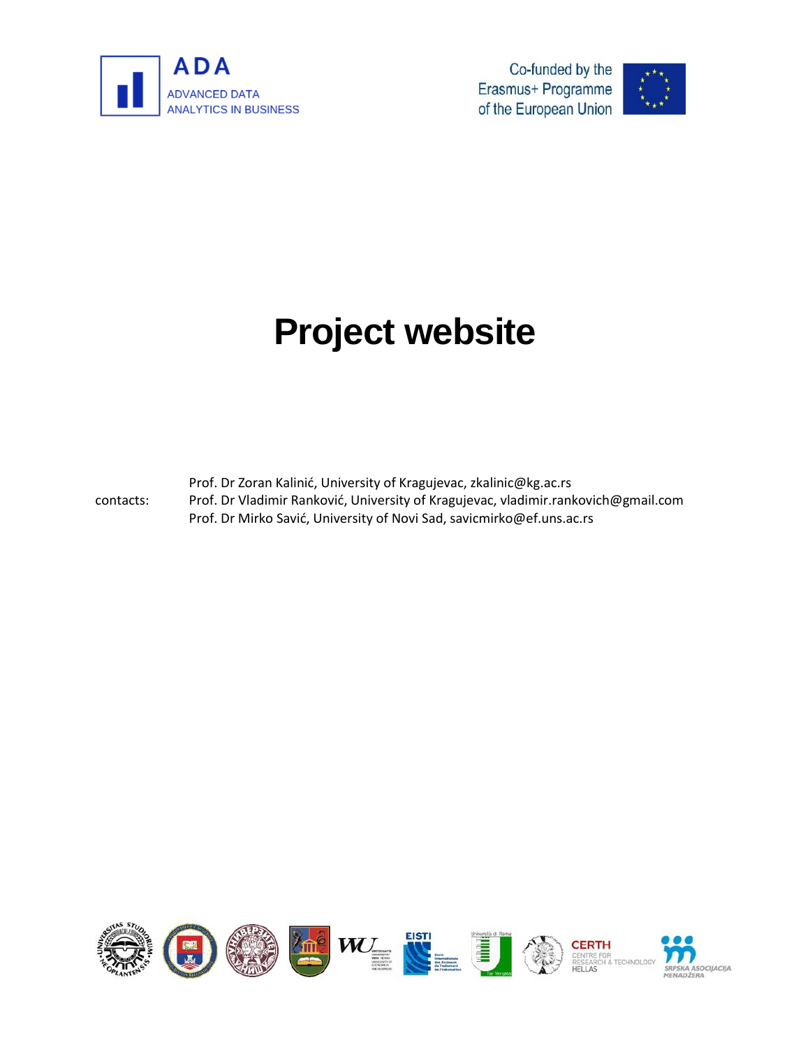

Co-funded by the Erasmus+ Programme of the European Union



## **Project website**

contacts: Prof. Dr Zoran Kalinić, University of Kragujevac, zkalinic@kg.ac.rs Prof. Dr Vladimir Ranković, University of Kragujevac, vladimir.rankovich@gmail.com Prof. Dr Mirko Savić, University of Novi Sad, savicmirko@ef.uns.ac.rs

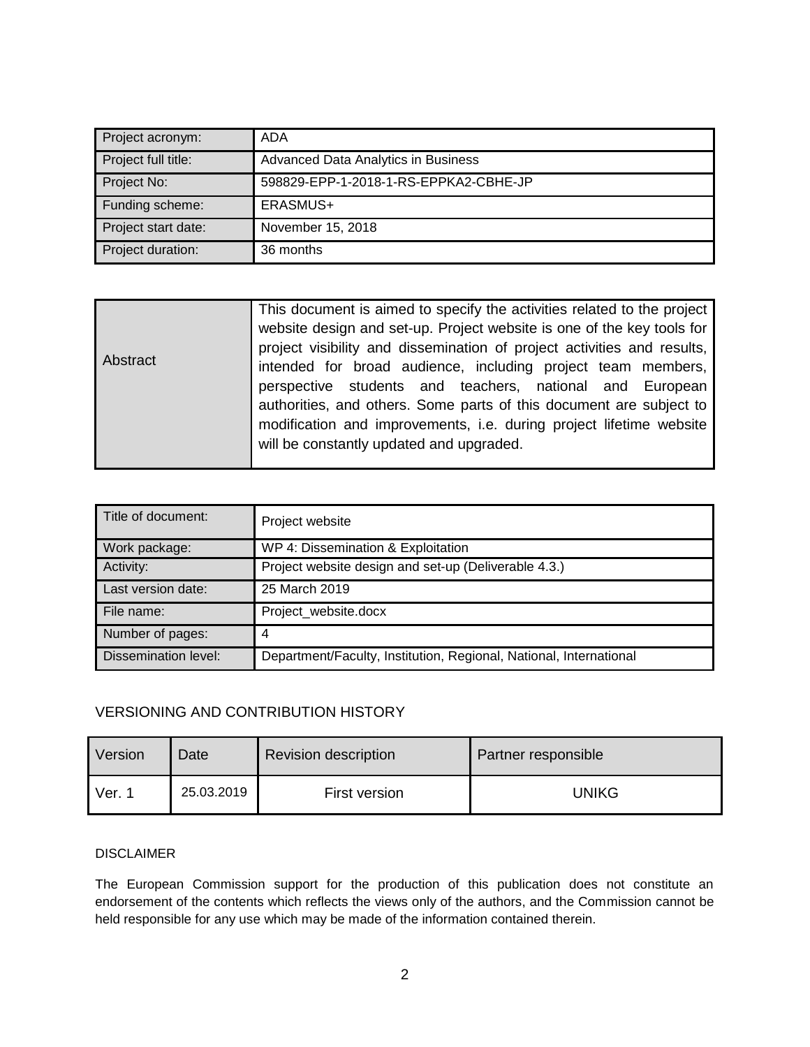| Project acronym:    | ADA                                   |  |
|---------------------|---------------------------------------|--|
| Project full title: | Advanced Data Analytics in Business   |  |
| Project No:         | 598829-EPP-1-2018-1-RS-EPPKA2-CBHE-JP |  |
| Funding scheme:     | ERASMUS+                              |  |
| Project start date: | November 15, 2018                     |  |
| Project duration:   | 36 months                             |  |

| Title of document:          | Project website                                                    |  |
|-----------------------------|--------------------------------------------------------------------|--|
| Work package:               | WP 4: Dissemination & Exploitation                                 |  |
| Activity:                   | Project website design and set-up (Deliverable 4.3.)               |  |
| Last version date:          | 25 March 2019                                                      |  |
| File name:                  | Project_website.docx                                               |  |
| Number of pages:            | 4                                                                  |  |
| <b>Dissemination level:</b> | Department/Faculty, Institution, Regional, National, International |  |

## VERSIONING AND CONTRIBUTION HISTORY

| Version             | Date       | <b>Revision description</b> | Partner responsible |
|---------------------|------------|-----------------------------|---------------------|
| $Ver.$ <sup>4</sup> | 25.03.2019 | First version               | <b>UNIKG</b>        |

## DISCLAIMER

The European Commission support for the production of this publication does not constitute an endorsement of the contents which reflects the views only of the authors, and the Commission cannot be held responsible for any use which may be made of the information contained therein.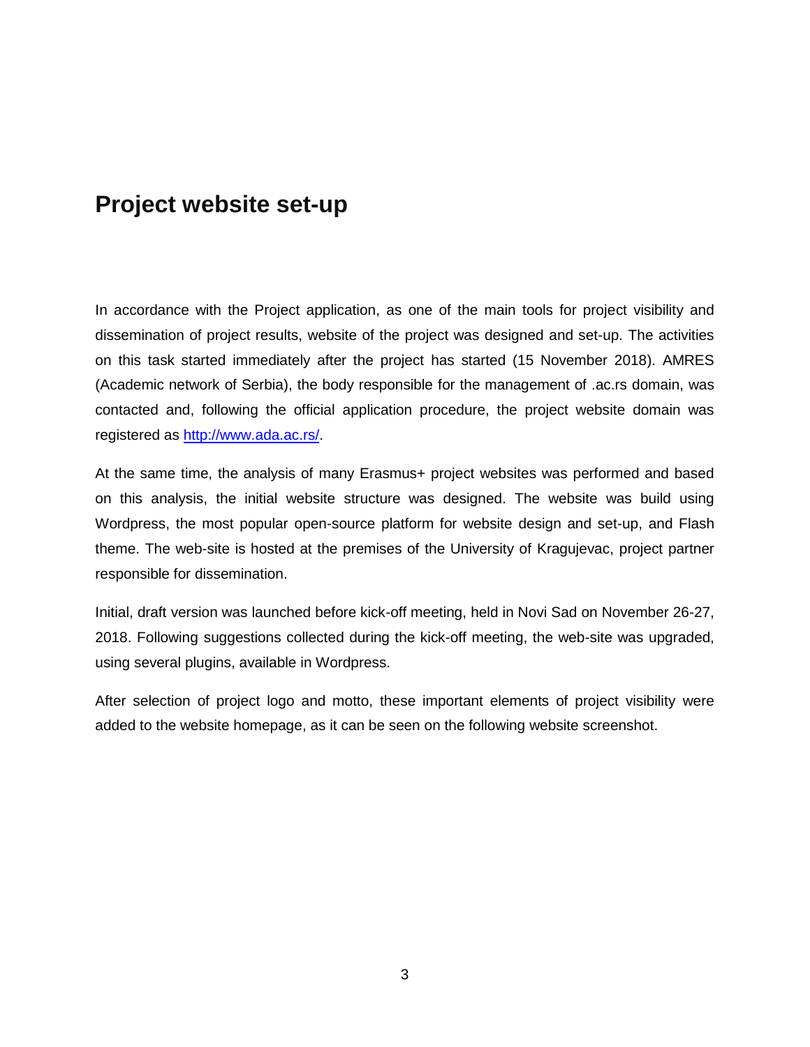## **Project website set-up**

In accordance with the Project application, as one of the main tools for project visibility and dissemination of project results, website of the project was designed and set-up. The activities on this task started immediately after the project has started (15 November 2018). AMRES (Academic network of Serbia), the body responsible for the management of .ac.rs domain, was contacted and, following the official application procedure, the project website domain was registered as [http://www.ada.ac.rs/.](http://www.ada.ac.rs/)

At the same time, the analysis of many Erasmus+ project websites was performed and based on this analysis, the initial website structure was designed. The website was build using Wordpress, the most popular open-source platform for website design and set-up, and Flash theme. The web-site is hosted at the premises of the University of Kragujevac, project partner responsible for dissemination.

Initial, draft version was launched before kick-off meeting, held in Novi Sad on November 26-27, 2018. Following suggestions collected during the kick-off meeting, the web-site was upgraded, using several plugins, available in Wordpress.

After selection of project logo and motto, these important elements of project visibility were added to the website homepage, as it can be seen on the following website screenshot.